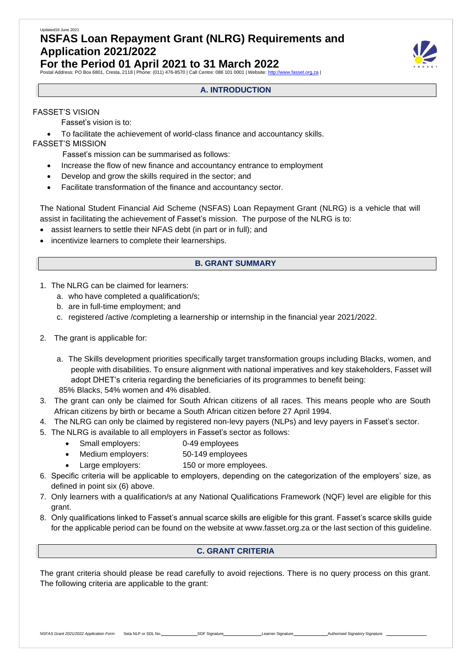# Updated18 June 2021 **NSFAS Loan Repayment Grant (NLRG) Requirements and Application 2021/2022**

**For the Period 01 April 2021 to 31 March 2022**

Postal Address: PO Box 6801, Cresta, 2118 | Phone: (011) 476-8570 | Call Centre: 086 101 0001 | Website: http



# FASSET'S VISION

Fasset's vision is to:

• To facilitate the achievement of world-class finance and accountancy skills.

# FASSET'S MISSION

Fasset's mission can be summarised as follows:

- Increase the flow of new finance and accountancy entrance to employment
- Develop and grow the skills required in the sector; and
- Facilitate transformation of the finance and accountancy sector.

The National Student Financial Aid Scheme (NSFAS) Loan Repayment Grant (NLRG) is a vehicle that will assist in facilitating the achievement of Fasset's mission. The purpose of the NLRG is to:

- assist learners to settle their NFAS debt (in part or in full); and
- incentivize learners to complete their learnerships.

# **B. GRANT SUMMARY**

- 1. The NLRG can be claimed for learners:
	- a. who have completed a qualification/s;
	- b. are in full-time employment; and
	- c. registered /active /completing a learnership or internship in the financial year 2021/2022.
- 2. The grant is applicable for:
	- a. The Skills development priorities specifically target transformation groups including Blacks, women, and people with disabilities. To ensure alignment with national imperatives and key stakeholders, Fasset will adopt DHET's criteria regarding the beneficiaries of its programmes to benefit being: 85% Blacks, 54% women and 4% disabled.
- 3. The grant can only be claimed for South African citizens of all races. This means people who are South African citizens by birth or became a South African citizen before 27 April 1994.
- 4. The NLRG can only be claimed by registered non-levy payers (NLPs) and levy payers in Fasset's sector.
- 5. The NLRG is available to all employers in Fasset's sector as follows:
	- Small employers: 0-49 employees
	- Medium employers: 50-149 employees
	- Large employers: 150 or more employees.
- 6. Specific criteria will be applicable to employers, depending on the categorization of the employers' size, as defined in point six (6) above.
- 7. Only learners with a qualification/s at any National Qualifications Framework (NQF) level are eligible for this grant.
- 8. Only qualifications linked to Fasset's annual scarce skills are eligible for this grant. Fasset's scarce skills guide for the applicable period can be found on the website at [www.fasset.org.za o](http://www.fasset.org.za/)r the last section of this guideline.

# **C. GRANT CRITERIA**

The grant criteria should please be read carefully to avoid rejections. There is no query process on this grant. The following criteria are applicable to the grant:

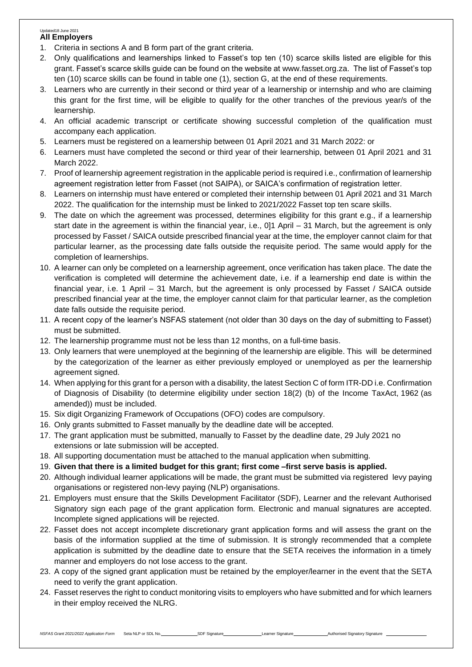#### Updated18 June 2021 **All Employers**

- 1. Criteria in sections A and B form part of the grant criteria.
- 2. Only qualifications and learnerships linked to Fasset's top ten (10) scarce skills listed are eligible for this grant. Fasset's scarce skills guide can be found on the website at [www.fasset.org.za.](http://www.fasset.org.za/) The list of Fasset's top ten (10) scarce skills can be found in table one (1), section G, at the end of these requirements.
- 3. Learners who are currently in their second or third year of a learnership or internship and who are claiming this grant for the first time, will be eligible to qualify for the other tranches of the previous year/s of the learnership.
- 4. An official academic transcript or certificate showing successful completion of the qualification must accompany each application.
- 5. Learners must be registered on a learnership between 01 April 2021 and 31 March 2022: or
- 6. Learners must have completed the second or third year of their learnership, between 01 April 2021 and 31 March 2022.
- 7. Proof of learnership agreement registration in the applicable period is required i.e., confirmation of learnership agreement registration letter from Fasset (not SAIPA), or SAICA's confirmation of registration letter.
- 8. Learners on internship must have entered or completed their internship between 01 April 2021 and 31 March 2022. The qualification for the internship must be linked to 2021/2022 Fasset top ten scare skills.
- 9. The date on which the agreement was processed, determines eligibility for this grant e.g., if a learnership start date in the agreement is within the financial year, i.e., 0]1 April – 31 March, but the agreement is only processed by Fasset / SAICA outside prescribed financial year at the time, the employer cannot claim for that particular learner, as the processing date falls outside the requisite period. The same would apply for the completion of learnerships.
- 10. A learner can only be completed on a learnership agreement, once verification has taken place. The date the verification is completed will determine the achievement date, i.e. if a learnership end date is within the financial year, i.e. 1 April – 31 March, but the agreement is only processed by Fasset / SAICA outside prescribed financial year at the time, the employer cannot claim for that particular learner, as the completion date falls outside the requisite period.
- 11. A recent copy of the learner's NSFAS statement (not older than 30 days on the day of submitting to Fasset) must be submitted.
- 12. The learnership programme must not be less than 12 months, on a full-time basis.
- 13. Only learners that were unemployed at the beginning of the learnership are eligible. This will be determined by the categorization of the learner as either previously employed or unemployed as per the learnership agreement signed.
- 14. When applying for this grant for a person with a disability, the latest Section C of form ITR-DD i.e. Confirmation of Diagnosis of Disability (to determine eligibility under section 18(2) (b) of the Income TaxAct, 1962 (as amended)) must be included.
- 15. Six digit Organizing Framework of Occupations (OFO) codes are compulsory.
- 16. Only grants submitted to Fasset manually by the deadline date will be accepted.
- 17. The grant application must be submitted, manually to Fasset by the deadline date, 29 July 2021 no extensions or late submission will be accepted.
- 18. All supporting documentation must be attached to the manual application when submitting.
- 19. **Given that there is a limited budget for this grant; first come –first serve basis is applied.**
- 20. Although individual learner applications will be made, the grant must be submitted via registered levy paying organisations or registered non-levy paying (NLP) organisations.
- 21. Employers must ensure that the Skills Development Facilitator (SDF), Learner and the relevant Authorised Signatory sign each page of the grant application form. Electronic and manual signatures are accepted. Incomplete signed applications will be rejected.
- 22. Fasset does not accept incomplete discretionary grant application forms and will assess the grant on the basis of the information supplied at the time of submission. It is strongly recommended that a complete application is submitted by the deadline date to ensure that the SETA receives the information in a timely manner and employers do not lose access to the grant.
- 23. A copy of the signed grant application must be retained by the employer/learner in the event that the SETA need to verify the grant application.
- 24. Fasset reserves the right to conduct monitoring visits to employers who have submitted and for which learners in their employ received the NLRG.

MSFAS Grant 2021/2022 Application Form Seta NLP or SDL No. SDF Signature Learner Signature Learner Signature Learner Signature Learner Signature Learner Signature Learner Signature Learner Signature Learner Signature Learn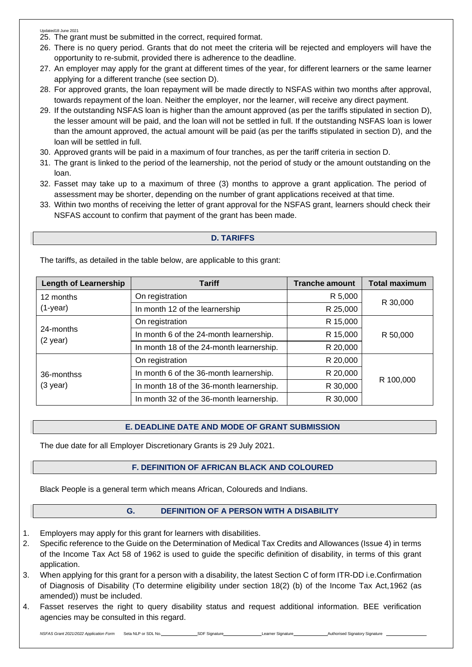- 25. The grant must be submitted in the correct, required format.
- 26. There is no query period. Grants that do not meet the criteria will be rejected and employers will have the opportunity to re-submit, provided there is adherence to the deadline.
- 27. An employer may apply for the grant at different times of the year, for different learners or the same learner applying for a different tranche (see section D).
- 28. For approved grants, the loan repayment will be made directly to NSFAS within two months after approval, towards repayment of the loan. Neither the employer, nor the learner, will receive any direct payment.
- 29. If the outstanding NSFAS loan is higher than the amount approved (as per the tariffs stipulated in section D), the lesser amount will be paid, and the loan will not be settled in full. If the outstanding NSFAS loan is lower than the amount approved, the actual amount will be paid (as per the tariffs stipulated in section D), and the loan will be settled in full.
- 30. Approved grants will be paid in a maximum of four tranches, as per the tariff criteria in section D.
- 31. The grant is linked to the period of the learnership, not the period of study or the amount outstanding on the loan.
- 32. Fasset may take up to a maximum of three (3) months to approve a grant application. The period of assessment may be shorter, depending on the number of grant applications received at that time.
- 33. Within two months of receiving the letter of grant approval for the NSFAS grant, learners should check their NSFAS account to confirm that payment of the grant has been made.

# **D. TARIFFS**

**Length** of Learnership **Tariff Tranche** amount **Total** maximum 12 months (1-year) On registration R 5,000 R 30,000 In month 12 of the learnership R 25,000 24-months (2 year) On registration R 15,000 In month 6 of the 24-month learnership.  $\vert$  R 15,000 R 50,000 In month 18 of the 24-month learnership.  $\vert$  R 20,000 36-monthss (3 year) On registration R 20,000 R 100,000 In month 6 of the 36-month learnership.  $\vert$  R 20,000 In month 18 of the 36-month learnership.  $\vert$  R 30,000 In month 32 of the 36-month learnership.  $\vert$  R 30,000

The tariffs, as detailed in the table below, are applicable to this grant:

# **E. DEADLINE DATE AND MODE OF GRANT SUBMISSION**

The due date for all Employer Discretionary Grants is 29 July 2021.

# **F. DEFINITION OF AFRICAN BLACK AND COLOURED**

Black People is a general term which means African, Coloureds and Indians.

# **G. DEFINITION OF A PERSON WITH A DISABILITY**

- 1. Employers may apply for this grant for learners with disabilities.
- 2. Specific reference to the Guide on the Determination of Medical Tax Credits and Allowances (Issue 4) in terms of the Income Tax Act 58 of 1962 is used to guide the specific definition of disability, in terms of this grant application.
- 3. When applying for this grant for a person with a disability, the latest Section C of form ITR-DD i.e.Confirmation of Diagnosis of Disability (To determine eligibility under section 18(2) (b) of the Income Tax Act,1962 (as amended)) must be included.
- 4. Fasset reserves the right to query disability status and request additional information. BEE verification agencies may be consulted in this regard.

*NSFAS Grant 2021/2022 Application Form* Seta NLP or SDL No. SDF Signature Learner Signature Learner Signature Authorised Signatory Signature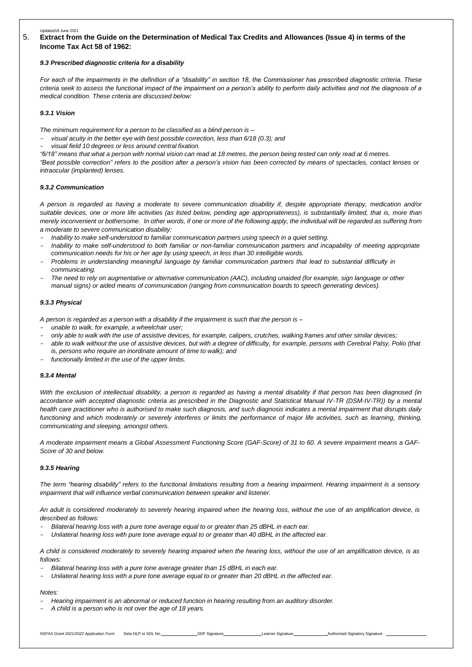### 5. **Extract from the Guide on the Determination of Medical Tax Credits and Allowances (Issue 4) in terms of the Income Tax Act 58 of 1962:**

#### *9.3 Prescribed diagnostic criteria for a disability*

*For each of the impairments in the definition of a "disability" in section 18, the Commissioner has prescribed diagnostic criteria. These criteria seek to assess the functional impact of the impairment on a person's ability to perform daily activities and not the diagnosis of a medical condition. These criteria are discussed below:*

#### *9.3.1 Vision*

*The minimum requirement for a person to be classified as a blind person is –*

- *visual acuity in the better eye with best possible correction, less than 6/18 (0.3); and*
- *visual field 10 degrees or less around central fixation.*

"6/18" means that what a person with normal vision can read at 18 metres, the person being tested can only read at 6 metres.

"Best possible correction" refers to the position after a person's vision has been corrected by means of spectacles, contact lenses or *intraocular (implanted) lenses.*

#### *9.3.2 Communication*

A person is regarded as having a moderate to severe communication disability if, despite appropriate therapy, medication and/or *suitable devices, one or more life activities (as listed below, pending age appropriateness), is substantially limited, that is, more than merely inconvenient or bothersome. In other words, if one or more of the following apply, the individual will be regarded as suffering from a moderate to severe communication disability:*

- *Inability to make self-understood to familiar communication partners using speech in a quiet setting.*
- Inability to make self-understood to both familiar or non-familiar communication partners and incapability of meeting appropriate *communication needs for his or her age by using speech, in less than 30 intelligible words.*
- Problems in understanding meaningful language by familiar communication partners that lead to substantial difficulty in *communicating.*
- *The need to rely on augmentative or alternative communication (AAC), including unaided (for example, sign language or other manual signs) or aided means of communication (ranging from communication boards to speech generating devices).*

#### *9.3.3 Physical*

A person is regarded as a person with a disability if the impairment is such that the person is -

- *unable to walk, for example, a wheelchair user;*
- only able to walk with the use of assistive devices, for example, calipers, crutches, walking frames and other similar devices;
- *able to walk without the use of assistive devices, but with a degree of difficulty, for example, persons with Cerebral Palsy, Polio (that is, persons who require an inordinate amount of time to walk); and*
- *functionally limited in the use of the upper limbs.*

#### *9.3.4 Mental*

*With the exclusion of intellectual disability, a person is regarded as having a mental disability if that person has been diagnosed (in accordance with accepted diagnostic criteria as prescribed in the Diagnostic and Statistical Manual IV-TR (DSM-IV-TR)) by a mental health care practitioner who is authorised to make such diagnosis, and such diagnosis indicates a mental impairment that disrupts daily functioning and which moderately or severely interferes or limits the performance of major life activities, such as learning, thinking, communicating and sleeping, amongst others.*

A moderate impairment means a Global Assessment Functioning Score (GAF-Score) of 31 to 60. A severe impairment means a GAF-*Score of 30 and below.*

#### *9.3.5 Hearing*

The term "hearing disability" refers to the functional limitations resulting from a hearing impairment. Hearing impairment is a sensory *impairment that will influence verbal communication between speaker and listener.*

An adult is considered moderately to severely hearing impaired when the hearing loss, without the use of an amplification device, is *described as follows:*

- *Bilateral hearing loss with a pure tone average equal to or greater than 25 dBHL in each ear.*
- Unilateral hearing loss with pure tone average equal to or greater than 40 dBHL in the affected ear.

A child is considered moderately to severely hearing impaired when the hearing loss, without the use of an amplification device, is as *follows:*

- *Bilateral hearing loss with a pure tone average greater than 15 dBHL in each ear.*
- *Unilateral hearing loss with a pure tone average equal to or greater than 20 dBHL in the affected ear.*

#### *Notes:*

- *Hearing impairment is an abnormal or reduced function in hearing resulting from an auditory disorder.*
- *A child is a person who is not over the age of 18 years.*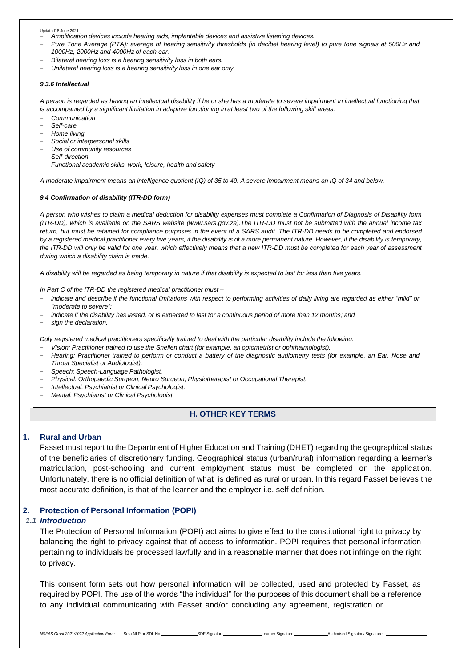- *Amplification devices include hearing aids, implantable devices and assistive listening devices.*

- Pure Tone Average (PTA): average of hearing sensitivity thresholds (in decibel hearing level) to pure tone signals at 500Hz and *1000Hz, 2000Hz and 4000Hz of each ear.*
- *Bilateral hearing loss is a hearing sensitivity loss in both ears.*
- *Unilateral hearing loss is a hearing sensitivity loss in one ear only.*

#### *9.3.6 Intellectual*

A person is regarded as having an intellectual disability if he or she has a moderate to severe impairment in intellectual functioning that *is accompanied by a significant limitation in adaptive functioning in at least two of the following skill areas:*

- *Communication*
- *Self-care*
- *Home living*
- *Social or interpersonal skills*
- *Use of community resources*
- *Self-direction*
- *Functional academic skills, work, leisure, health and safety*

A moderate impairment means an intelligence quotient (IQ) of 35 to 49. A severe impairment means an IQ of 34 and below.

#### *9.4 Confirmation of disability (ITR-DD form)*

*A person who wishes to claim a medical deduction for disability expenses must complete a Confirmation of Diagnosis of Disability form (ITR-DD), which is available on the SARS website (www.sars.gov.za).The ITR-DD must not be submitted with the annual income tax* return, but must be retained for compliance purposes in the event of a SARS audit. The ITR-DD needs to be completed and endorsed *by a registered medical practitioner every five years, if the disability is of a more permanent nature. However, if the disability is temporary, the ITR-DD will only be valid for one year, which effectively means that a new ITR-DD must be completed for each year of assessment during which a disability claim is made.*

*A disability will be regarded as being temporary in nature if that disability is expected to last for less than five years.*

*In Part C of the ITR-DD the registered medical practitioner must –*

- indicate and describe if the functional limitations with respect to performing activities of daily living are regarded as either "mild" or *"moderate to severe";*
- indicate if the disability has lasted, or is expected to last for a continuous period of more than 12 months; and
- *sign the declaration.*

*Duly registered medical practitioners specifically trained to deal with the particular disability include the following:*

- *Vision: Practitioner trained to use the Snellen chart (for example, an optometrist or ophthalmologist).*
- Hearing: Practitioner trained to perform or conduct a battery of the diagnostic audiometry tests (for example, an Ear, Nose and *Throat Specialist or Audiologist).*
- *Speech: Speech-Language Pathologist.*
- *Physical: Orthopaedic Surgeon, Neuro Surgeon, Physiotherapist or Occupational Therapist.*
- *Intellectual: Psychiatrist or Clinical Psychologist.*
- *Mental: Psychiatrist or Clinical Psychologist.*

### **H. OTHER KEY TERMS**

### **1. Rural and Urban**

Fasset must report to the Department of Higher Education and Training (DHET) regarding the geographical status of the beneficiaries of discretionary funding. Geographical status (urban/rural) information regarding a learner's matriculation, post-schooling and current employment status must be completed on the application. Unfortunately, there is no official definition of what is defined as rural or urban. In this regard Fasset believes the most accurate definition, is that of the learner and the employer i.e. self-definition.

### **2. Protection of Personal Information (POPI)**

### *1.1 Introduction*

The Protection of Personal Information (POPI) act aims to give effect to the constitutional right to privacy by balancing the right to privacy against that of access to information. POPI requires that personal information pertaining to individuals be processed lawfully and in a reasonable manner that does not infringe on the right to privacy.

This consent form sets out how personal information will be collected, used and protected by Fasset, as required by POPI. The use of the words "the individual" for the purposes of this document shall be a reference to any individual communicating with Fasset and/or concluding any agreement, registration or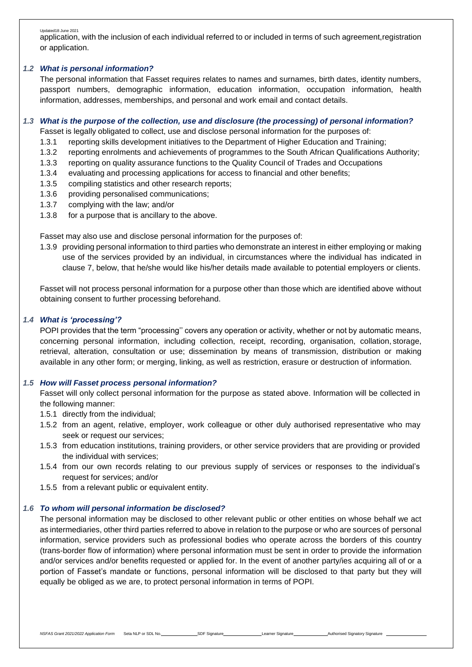Updated18 June 2021 application, with the inclusion of each individual referred to or included in terms of such agreement,registration or application.

# *1.2 What is personal information?*

The personal information that Fasset requires relates to names and surnames, birth dates, identity numbers, passport numbers, demographic information, education information, occupation information, health information, addresses, memberships, and personal and work email and contact details.

# *1.3 What is the purpose of the collection, use and disclosure (the processing) of personal information?*

Fasset is legally obligated to collect, use and disclose personal information for the purposes of:

- 1.3.1 reporting skills development initiatives to the Department of Higher Education and Training;
- 1.3.2 reporting enrolments and achievements of programmes to the South African Qualifications Authority;
- 1.3.3 reporting on quality assurance functions to the Quality Council of Trades and Occupations
- 1.3.4 evaluating and processing applications for access to financial and other benefits;
- 1.3.5 compiling statistics and other research reports;
- 1.3.6 providing personalised communications;
- 1.3.7 complying with the law; and/or
- 1.3.8 for a purpose that is ancillary to the above.

Fasset may also use and disclose personal information for the purposes of:

1.3.9 providing personal information to third parties who demonstrate an interest in either employing or making use of the services provided by an individual, in circumstances where the individual has indicated in clause 7, below, that he/she would like his/her details made available to potential employers or clients.

Fasset will not process personal information for a purpose other than those which are identified above without obtaining consent to further processing beforehand.

# *1.4 What is 'processing'?*

POPI provides that the term "processing'' covers any operation or activity, whether or not by automatic means, concerning personal information, including collection, receipt, recording, organisation, collation, storage, retrieval, alteration, consultation or use; dissemination by means of transmission, distribution or making available in any other form; or merging, linking, as well as restriction, erasure or destruction of information.

# *1.5 How will Fasset process personal information?*

Fasset will only collect personal information for the purpose as stated above. Information will be collected in the following manner:

- 1.5.1 directly from the individual;
- 1.5.2 from an agent, relative, employer, work colleague or other duly authorised representative who may seek or request our services;
- 1.5.3 from education institutions, training providers, or other service providers that are providing or provided the individual with services;
- 1.5.4 from our own records relating to our previous supply of services or responses to the individual's request for services; and/or
- 1.5.5 from a relevant public or equivalent entity.

# *1.6 To whom will personal information be disclosed?*

The personal information may be disclosed to other relevant public or other entities on whose behalf we act as intermediaries, other third parties referred to above in relation to the purpose or who are sources of personal information, service providers such as professional bodies who operate across the borders of this country (trans-border flow of information) where personal information must be sent in order to provide the information and/or services and/or benefits requested or applied for. In the event of another party/ies acquiring all of or a portion of Fasset's mandate or functions, personal information will be disclosed to that party but they will equally be obliged as we are, to protect personal information in terms of POPI.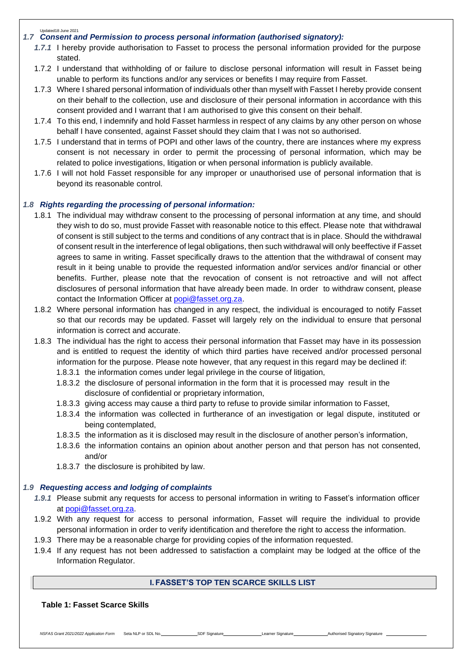#### Updated18 June 2021 *1.7 Consent and Permission to process personal information (authorised signatory):*

- *1.7.1* I hereby provide authorisation to Fasset to process the personal information provided for the purpose stated.
- 1.7.2 I understand that withholding of or failure to disclose personal information will result in Fasset being unable to perform its functions and/or any services or benefits I may require from Fasset.
- 1.7.3 Where I shared personal information of individuals other than myself with Fasset I hereby provide consent on their behalf to the collection, use and disclosure of their personal information in accordance with this consent provided and I warrant that I am authorised to give this consent on their behalf.
- 1.7.4 To this end, I indemnify and hold Fasset harmless in respect of any claims by any other person on whose behalf I have consented, against Fasset should they claim that I was not so authorised.
- 1.7.5 I understand that in terms of POPI and other laws of the country, there are instances where my express consent is not necessary in order to permit the processing of personal information, which may be related to police investigations, litigation or when personal information is publicly available.
- 1.7.6 I will not hold Fasset responsible for any improper or unauthorised use of personal information that is beyond its reasonable control.

# *1.8 Rights regarding the processing of personal information:*

- 1.8.1 The individual may withdraw consent to the processing of personal information at any time, and should they wish to do so, must provide Fasset with reasonable notice to this effect. Please note that withdrawal of consent is still subject to the terms and conditions of any contract that is in place. Should the withdrawal of consent result in the interference of legal obligations, then such withdrawal will only beeffective if Fasset agrees to same in writing. Fasset specifically draws to the attention that the withdrawal of consent may result in it being unable to provide the requested information and/or services and/or financial or other benefits. Further, please note that the revocation of consent is not retroactive and will not affect disclosures of personal information that have already been made. In order to withdraw consent, please contact the Information Officer at [popi@fasset.org.za.](mailto:popi@fasset.org.za)
- 1.8.2 Where personal information has changed in any respect, the individual is encouraged to notify Fasset so that our records may be updated. Fasset will largely rely on the individual to ensure that personal information is correct and accurate.
- 1.8.3 The individual has the right to access their personal information that Fasset may have in its possession and is entitled to request the identity of which third parties have received and/or processed personal information for the purpose. Please note however, that any request in this regard may be declined if: 1.8.3.1 the information comes under legal privilege in the course of litigation,
	- 1.8.3.2 the disclosure of personal information in the form that it is processed may result in the disclosure of confidential or proprietary information,
	- 1.8.3.3 giving access may cause a third party to refuse to provide similar information to Fasset,
	- 1.8.3.4 the information was collected in furtherance of an investigation or legal dispute, instituted or being contemplated,
	- 1.8.3.5 the information as it is disclosed may result in the disclosure of another person's information,
	- 1.8.3.6 the information contains an opinion about another person and that person has not consented, and/or
	- 1.8.3.7 the disclosure is prohibited by law.

### *1.9 Requesting access and lodging of complaints*

- *1.9.1* Please submit any requests for access to personal information in writing to Fasset's information officer at [popi@fasset.org.za.](mailto:popi@fasset.org.za)
- 1.9.2 With any request for access to personal information, Fasset will require the individual to provide personal information in order to verify identification and therefore the right to access the information.
- 1.9.3 There may be a reasonable charge for providing copies of the information requested.
- 1.9.4 If any request has not been addressed to satisfaction a complaint may be lodged at the office of the Information Regulator.

# **I. FASSET'S TOP TEN SCARCE SKILLS LIST**

*NSFAS Grant 2021/2022 Application Form* Seta NLP or SDL No. SDF Signature Learner Signature Learner Signature Authorised Signatory Signature

# **Table 1: Fasset Scarce Skills**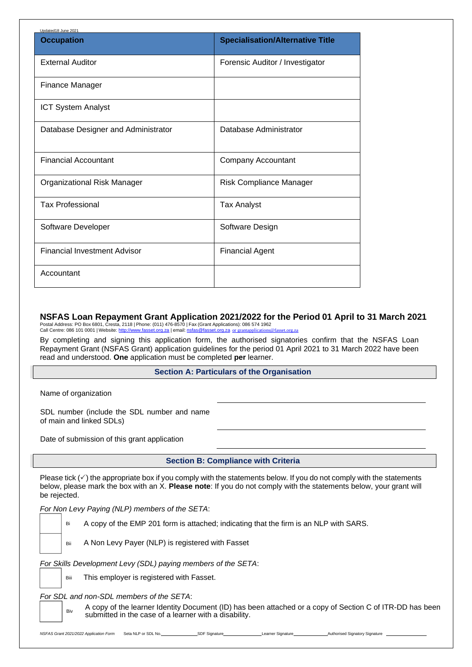| Updated18 June 2021                 |                                         |  |  |
|-------------------------------------|-----------------------------------------|--|--|
| <b>Occupation</b>                   | <b>Specialisation/Alternative Title</b> |  |  |
| <b>External Auditor</b>             | Forensic Auditor / Investigator         |  |  |
| <b>Finance Manager</b>              |                                         |  |  |
| <b>ICT System Analyst</b>           |                                         |  |  |
| Database Designer and Administrator | Database Administrator                  |  |  |
| <b>Financial Accountant</b>         | <b>Company Accountant</b>               |  |  |
| Organizational Risk Manager         | <b>Risk Compliance Manager</b>          |  |  |
| <b>Tax Professional</b>             | <b>Tax Analyst</b>                      |  |  |
| Software Developer                  | Software Design                         |  |  |
| <b>Financial Investment Advisor</b> | <b>Financial Agent</b>                  |  |  |
| Accountant                          |                                         |  |  |

**NSFAS Loan Repayment Grant Application 2021/2022 for the Period 01 April to 31 March 2021**

Postal Address: PO Box 6801, Cresta, 2118 | Phone: (011) 476-8570 | Fax (Grant Applications): 086 574 1962<br>Call Centre: 086 101 0001 | Website: <u>http://www.fasset.org.za</u> | email: <u>[nsfas@fasset.org.za](mailto:grantapplications@fasset.org.za)\_or\_grantapplications@</u>

By completing and signing this application form, the authorised signatories confirm that the NSFAS Loan Repayment Grant (NSFAS Grant) application guidelines for the period 01 April 2021 to 31 March 2022 have been read and understood. **One** application must be completed **per** learner.

# **Section A: Particulars of the Organisation**

Name of organization

Biv

SDL number (include the SDL number and name of main and linked SDLs)

Date of submission of this grant application

**Section B: Compliance with Criteria**

Please tick  $(\check{v})$  the appropriate box if you comply with the statements below. If you do not comply with the statements below, please mark the box with an X. **Please note**: If you do not comply with the statements below, your grant will be rejected.

*For Non Levy Paying (NLP) members of the SETA*:

Bi A copy of the EMP 201 form is attached; indicating that the firm is an NLP with SARS.

Bii A Non Levy Payer (NLP) is registered with Fasset

*For Skills Development Levy (SDL) paying members of the SETA*:

Biii This employer is registered with Fasset.

*For SDL and non-SDL members of the SETA*:

A copy of the learner Identity Document (ID) has been attached or a copy of Section C of ITR-DD has been submitted in the case of a learner with a disability.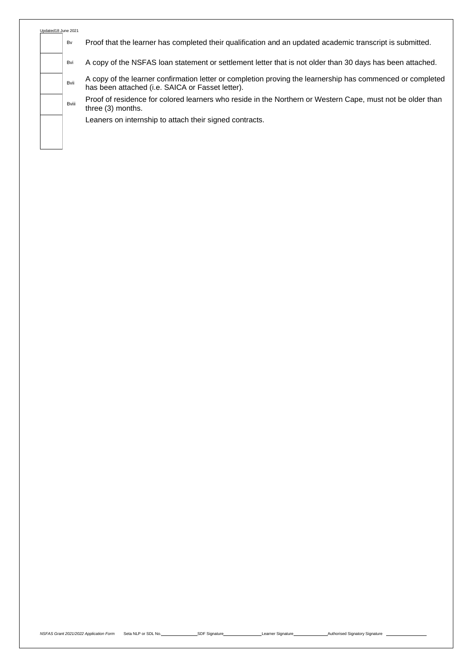| Updated18 June 2021 |       |  |
|---------------------|-------|--|
|                     | Bv    |  |
|                     |       |  |
|                     | Bvi   |  |
|                     |       |  |
|                     | Bvii  |  |
|                     |       |  |
|                     | Bviii |  |
|                     |       |  |
|                     |       |  |
|                     |       |  |
|                     |       |  |

Proof that the learner has completed their qualification and an updated academic transcript is submitted.

A copy of the NSFAS loan statement or settlement letter that is not older than 30 days has been attached.

A copy of the learner confirmation letter or completion proving the learnership has commenced or completed has been attached (i.e. SAICA or Fasset letter).

Proof of residence for colored learners who reside in the Northern or Western Cape, must not be older than three (3) months.

Leaners on internship to attach their signed contracts.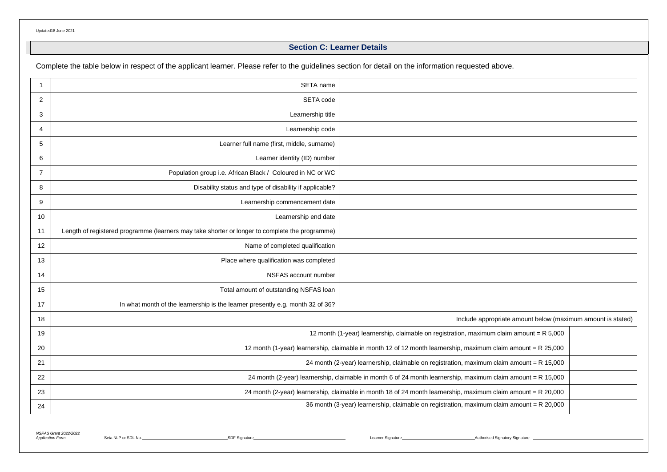# **Section C: Learner Details**

Complete the table below in respect of the applicant learner. Please refer to the guidelines section for detail on the information requested above.

|                | SETA name                                                                                                     |  |  |
|----------------|---------------------------------------------------------------------------------------------------------------|--|--|
| $\overline{2}$ | SETA code                                                                                                     |  |  |
| 3              | Learnership title                                                                                             |  |  |
| 4              | Learnership code                                                                                              |  |  |
| 5              | Learner full name (first, middle, surname)                                                                    |  |  |
| 6              | Learner identity (ID) number                                                                                  |  |  |
| $\overline{7}$ | Population group i.e. African Black / Coloured in NC or WC                                                    |  |  |
| 8              | Disability status and type of disability if applicable?                                                       |  |  |
| 9              | Learnership commencement date                                                                                 |  |  |
| 10             | Learnership end date                                                                                          |  |  |
| 11             | Length of registered programme (learners may take shorter or longer to complete the programme)                |  |  |
| 12             | Name of completed qualification                                                                               |  |  |
| 13             | Place where qualification was completed                                                                       |  |  |
| 14             | NSFAS account number                                                                                          |  |  |
| 15             | Total amount of outstanding NSFAS loan                                                                        |  |  |
| 17             | In what month of the learnership is the learner presently e.g. month 32 of 36?                                |  |  |
| 18             | Include appropriate amount below (maximum amount is stated)                                                   |  |  |
| 19             | 12 month (1-year) learnership, claimable on registration, maximum claim amount = R 5,000                      |  |  |
| 20             | 12 month (1-year) learnership, claimable in month 12 of 12 month learnership, maximum claim amount = R 25,000 |  |  |
| 21             | 24 month (2-year) learnership, claimable on registration, maximum claim amount = R 15,000                     |  |  |
| 22             | 24 month (2-year) learnership, claimable in month 6 of 24 month learnership, maximum claim amount = R 15,000  |  |  |
| 23             | 24 month (2-year) learnership, claimable in month 18 of 24 month learnership, maximum claim amount = R 20,000 |  |  |
| 24             | 36 month (3-year) learnership, claimable on registration, maximum claim amount = R 20,000                     |  |  |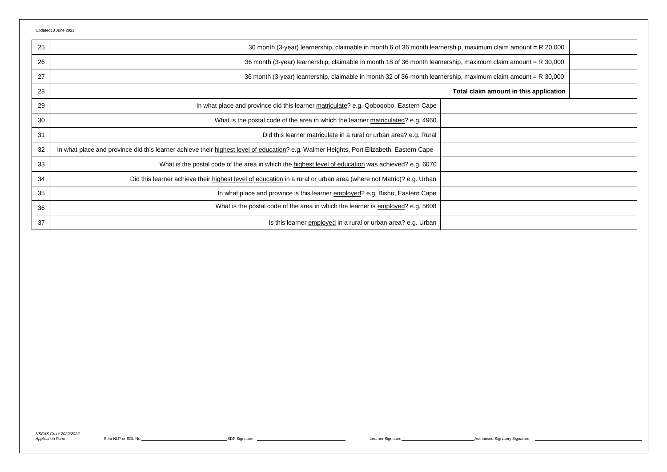| 25 | 36 month (3-year) learnership, claimable in month 6 of 36 month learnership, maximum claim amount = R 20,000                            |  |
|----|-----------------------------------------------------------------------------------------------------------------------------------------|--|
| 26 | 36 month (3-year) learnership, claimable in month 18 of 36 month learnership, maximum claim amount = R 30,000                           |  |
| 27 | 36 month (3-year) learnership, claimable in month 32 of 36-month learnership, maximum claim amount = R 30,000                           |  |
| 28 | Total claim amount in this application                                                                                                  |  |
| 29 | In what place and province did this learner matriculate? e.g. Qoboqobo, Eastern Cape                                                    |  |
| 30 | What is the postal code of the area in which the learner matriculated? e.g. 4960                                                        |  |
| 31 | Did this learner matriculate in a rural or urban area? e.g. Rural                                                                       |  |
| 32 | In what place and province did this learner achieve their highest level of education? e.g. Walmer Heights, Port Elizabeth, Eastern Cape |  |
| 33 | What is the postal code of the area in which the highest level of education was achieved? e.g. 6070                                     |  |
| 34 | Did this learner achieve their highest level of education in a rural or urban area (where not Matric)? e.g. Urban                       |  |
| 35 | In what place and province is this learner employed? e.g. Bisho, Eastern Cape                                                           |  |
| 36 | What is the postal code of the area in which the learner is employed? e.g. 5608                                                         |  |
| 37 | Is this learner employed in a rural or urban area? e.g. Urban                                                                           |  |

*NSFAS Grant 2022/2022*

Application Form Seta NLP or SDL No. <u>SDF Signature SDF Signature SDF Signature SDF Signature Authorised Signature Authorised Signature Authorised Signature Authorised Signature Authorised Signature Authorised Signature Se</u>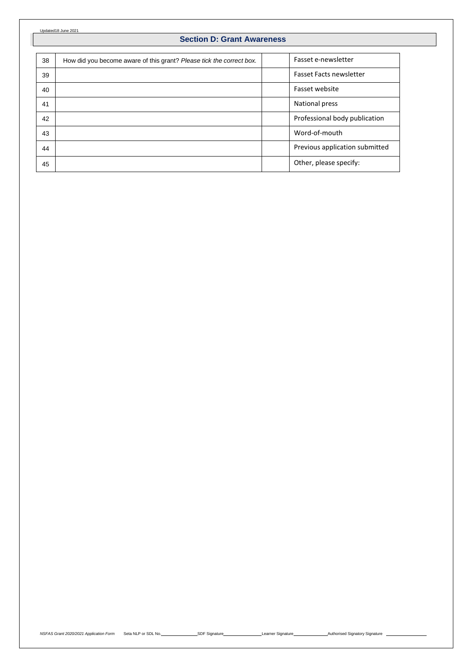# **Section D: Grant Awareness**

| 38 | How did you become aware of this grant? Please tick the correct box. | Fasset e-newsletter            |
|----|----------------------------------------------------------------------|--------------------------------|
| 39 |                                                                      | <b>Fasset Facts newsletter</b> |
| 40 |                                                                      | Fasset website                 |
| 41 |                                                                      | <b>National press</b>          |
| 42 |                                                                      | Professional body publication  |
| 43 |                                                                      | Word-of-mouth                  |
| 44 |                                                                      | Previous application submitted |
| 45 |                                                                      | Other, please specify:         |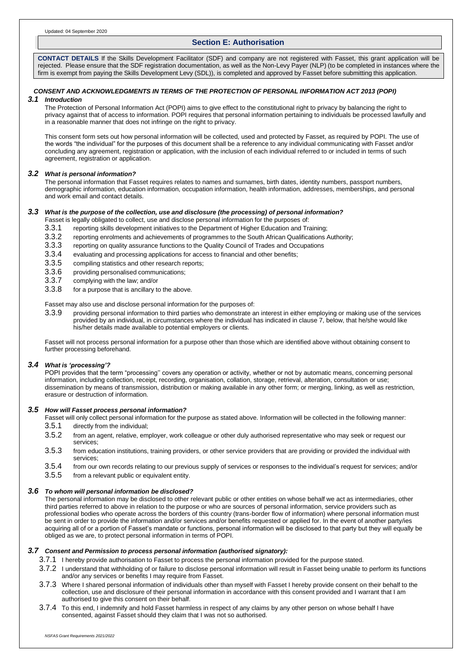### **Section E: Authorisation**

**CONTACT DETAILS** If the Skills Development Facilitator (SDF) and company are not registered with Fasset, this grant application will be rejected. Please ensure that the SDF registration documentation, as well as the Non-Levy Payer (NLP) (to be completed in instances where the firm is exempt from paying the Skills Development Levy (SDL)), is completed and approved by Fasset before submitting this application.

# *CONSENT AND ACKNOWLEDGMENTS IN TERMS OF THE PROTECTION OF PERSONAL INFORMATION ACT 2013 (POPI)*

### *3.1 Introduction*

The Protection of Personal Information Act (POPI) aims to give effect to the constitutional right to privacy by balancing the right to privacy against that of access to information. POPI requires that personal information pertaining to individuals be processed lawfully and in a reasonable manner that does not infringe on the right to privacy.

This consent form sets out how personal information will be collected, used and protected by Fasset, as required by POPI. The use of the words "the individual" for the purposes of this document shall be a reference to any individual communicating with Fasset and/or concluding any agreement, registration or application, with the inclusion of each individual referred to or included in terms of such agreement, registration or application.

#### *3.2 What is personal information?*

The personal information that Fasset requires relates to names and surnames, birth dates, identity numbers, passport numbers, demographic information, education information, occupation information, health information, addresses, memberships, and personal and work email and contact details.

### *3.3 What is the purpose of the collection, use and disclosure (the processing) of personal information?*

Fasset is legally obligated to collect, use and disclose personal information for the purposes of:

- 3.3.1 reporting skills development initiatives to the Department of Higher Education and Training;<br>3.3.2 reporting enrolments and achievements of programmes to the South African Qualifications
- 3.3.2 reporting enrolments and achievements of programmes to the South African Qualifications Authority;<br>3.3.3 reporting on quality assurance functions to the Quality Council of Trades and Occupations
- 3.3.3 reporting on quality assurance functions to the Quality Council of Trades and Occupations
- 3.3.4 evaluating and processing applications for access to financial and other benefits;
- 3.3.5 compiling statistics and other research reports;
- 3.3.6 providing personalised communications;<br>3.3.7 complying with the law: and/or
- complying with the law; and/or
- 3.3.8 for a purpose that is ancillary to the above.

#### Fasset may also use and disclose personal information for the purposes of:

3.3.9 providing personal information to third parties who demonstrate an interest in either employing or making use of the services provided by an individual, in circumstances where the individual has indicated in clause 7, below, that he/she would like his/her details made available to potential employers or clients.

Fasset will not process personal information for a purpose other than those which are identified above without obtaining consent to further processing beforehand.

#### *3.4 What is 'processing'?*

POPI provides that the term "processing'' covers any operation or activity, whether or not by automatic means, concerning personal information, including collection, receipt, recording, organisation, collation, storage, retrieval, alteration, consultation or use; dissemination by means of transmission, distribution or making available in any other form; or merging, linking, as well as restriction, erasure or destruction of information.

#### *3.5 How will Fasset process personal information?*

Fasset will only collect personal information for the purpose as stated above. Information will be collected in the following manner:

- 3.5.1 directly from the individual;
- 3.5.2 from an agent, relative, employer, work colleague or other duly authorised representative who may seek or request our services;
- 3.5.3 from education institutions, training providers, or other service providers that are providing or provided the individual with services;
- 3.5.4 from our own records relating to our previous supply of services or responses to the individual's request for services; and/or
- 3.5.5 from a relevant public or equivalent entity.

#### *3.6 To whom will personal information be disclosed?*

The personal information may be disclosed to other relevant public or other entities on whose behalf we act as intermediaries, other third parties referred to above in relation to the purpose or who are sources of personal information, service providers such as professional bodies who operate across the borders of this country (trans-border flow of information) where personal information must be sent in order to provide the information and/or services and/or benefits requested or applied for. In the event of another party/ies acquiring all of or a portion of Fasset's mandate or functions, personal information will be disclosed to that party but they will equally be obliged as we are, to protect personal information in terms of POPI.

#### *3.7 Consent and Permission to process personal information (authorised signatory):*

- 3.7.1 I hereby provide authorisation to Fasset to process the personal information provided for the purpose stated.
- 3.7.2 I understand that withholding of or failure to disclose personal information will result in Fasset being unable to perform its functions and/or any services or benefits I may require from Fasset.
- 3.7.3 Where I shared personal information of individuals other than myself with Fasset I hereby provide consent on their behalf to the collection, use and disclosure of their personal information in accordance with this consent provided and I warrant that I am authorised to give this consent on their behalf.
- 3.7.4 To this end, I indemnify and hold Fasset harmless in respect of any claims by any other person on whose behalf I have consented, against Fasset should they claim that I was not so authorised.